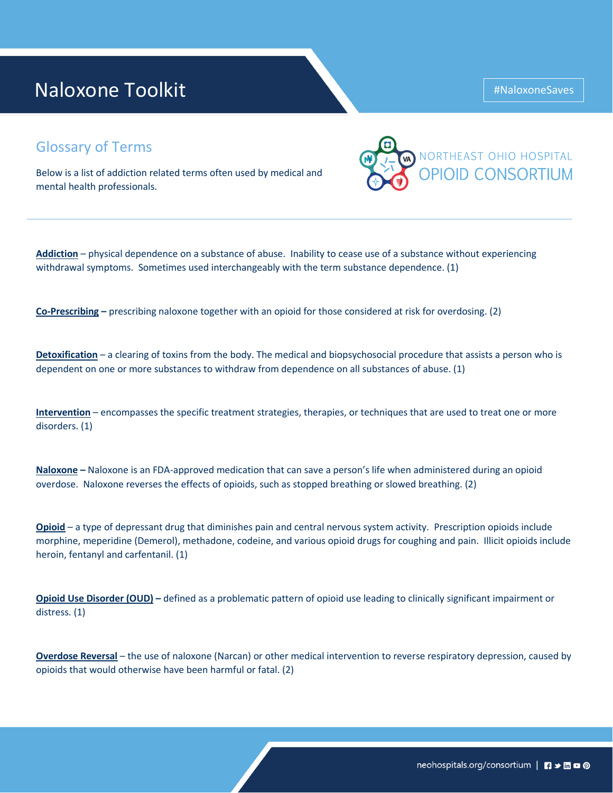# Naloxone Toolkit

### Glossary of Terms

Below is a list of addiction related terms often used by medical and mental health professionals.



**Addiction** – physical dependence on a substance of abuse. Inability to cease use of a substance without experiencing withdrawal symptoms. Sometimes used interchangeably with the term substance dependence. (1)

**Co-Prescribing –** prescribing naloxone together with an opioid for those considered at risk for overdosing. (2)

**Detoxification** – a clearing of toxins from the body. The medical and biopsychosocial procedure that assists a person who is dependent on one or more substances to withdraw from dependence on all substances of abuse. (1)

**Intervention** – encompasses the specific treatment strategies, therapies, or techniques that are used to treat one or more disorders. (1)

**Naloxone –** Naloxone is an FDA-approved medication that can save a person's life when administered during an opioid overdose. Naloxone reverses the effects of opioids, such as stopped breathing or slowed breathing. (2)

**Opioid** – a type of depressant drug that diminishes pain and central nervous system activity. Prescription opioids include morphine, meperidine (Demerol), methadone, codeine, and various opioid drugs for coughing and pain. Illicit opioids include heroin, fentanyl and carfentanil. (1)

**Opioid Use Disorder (OUD) –** defined as a problematic pattern of opioid use leading to clinically significant impairment or distress. (1)

**Overdose Reversal** – the use of naloxone (Narcan) or other medical intervention to reverse respiratory depression, caused by opioids that would otherwise have been harmful or fatal. (2)